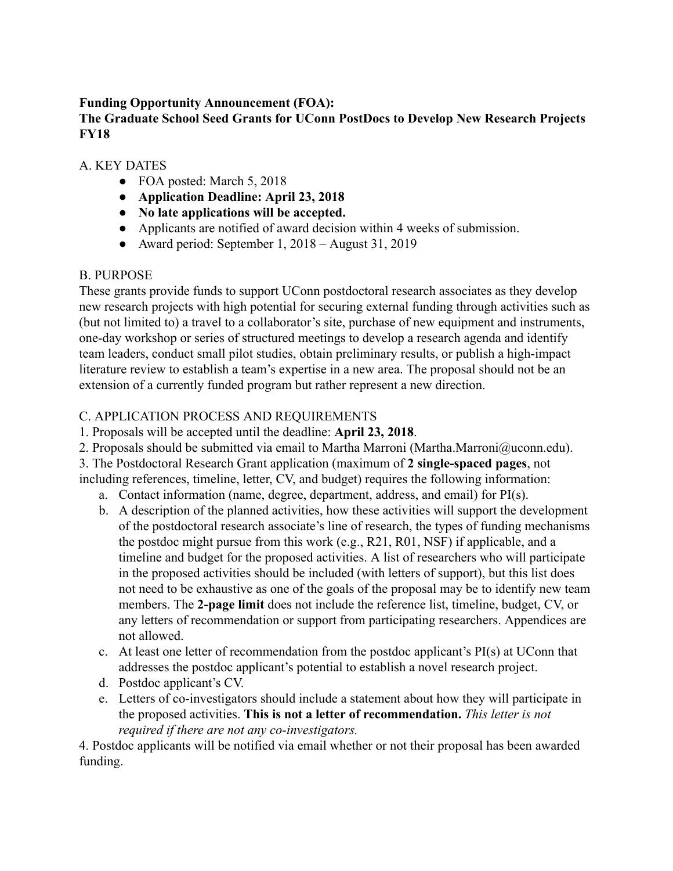## **Funding Opportunity Announcement (FOA):**

#### **The Graduate School Seed Grants for UConn PostDocs to Develop New Research Projects FY18**

#### A. KEY DATES

- FOA posted: March 5, 2018
- **● Application Deadline: April 23, 2018**
- **● No late applications will be accepted.**
- Applicants are notified of award decision within 4 weeks of submission.
- Award period: September 1, 2018 August 31, 2019

## B. PURPOSE

These grants provide funds to support UConn postdoctoral research associates as they develop new research projects with high potential for securing external funding through activities such as (but not limited to) a travel to a collaborator's site, purchase of new equipment and instruments, one-day workshop or series of structured meetings to develop a research agenda and identify team leaders, conduct small pilot studies, obtain preliminary results, or publish a high-impact literature review to establish a team's expertise in a new area. The proposal should not be an extension of a currently funded program but rather represent a new direction.

## C. APPLICATION PROCESS AND REQUIREMENTS

- 1. Proposals will be accepted until the deadline: **April 23, 2018** .
- 2. Proposals should be submitted via email to Martha Marroni (Martha.Marroni@uconn.edu).

3. The Postdoctoral Research Grant application (maximum of 2 single-spaced pages, not including references, timeline, letter, CV, and budget) requires the following information:

- a. Contact information (name, degree, department, address, and email) for PI(s).
- b. A description of the planned activities, how these activities will support the development of the postdoctoral research associate's line of research, the types of funding mechanisms the postdoc might pursue from this work (e.g., R21, R01, NSF) if applicable, and a timeline and budget for the proposed activities. A list of researchers who will participate in the proposed activities should be included (with letters of support), but this list does not need to be exhaustive as one of the goals of the proposal may be to identify new team members. The 2-page limit does not include the reference list, timeline, budget, CV, or any letters of recommendation or support from participating researchers. Appendices are not allowed.
- c. At least one letter of recommendation from the postdoc applicant's PI(s) at UConn that addresses the postdoc applicant's potential to establish a novel research project.
- d. Postdoc applicant's CV.
- e. Letters of co-investigators should include a statement about how they will participate in the proposed activities. **This is not a letter of recommendation.**  *This letter is not required if there are not any co-investigators.*

4. Postdoc applicants will be notified via email whether or not their proposal has been awarded funding.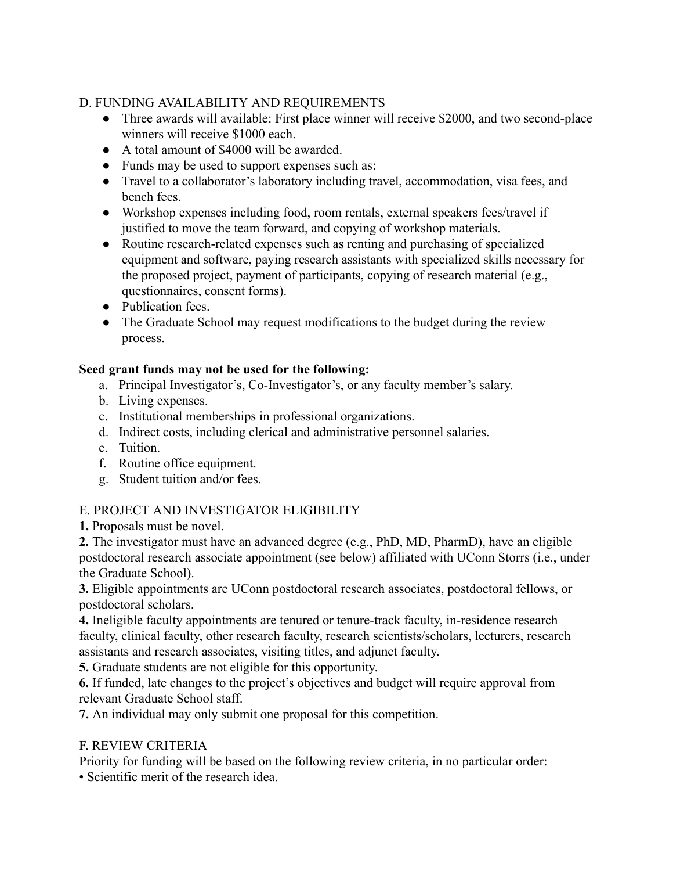## D. FUNDING AVAILABILITY AND REQUIREMENTS

- Three awards will available: First place winner will receive \$2000, and two second-place winners will receive \$1000 each.
- A total amount of \$4000 will be awarded.
- Funds may be used to support expenses such as:
- Travel to a collaborator's laboratory including travel, accommodation, visa fees, and bench fees.
- Workshop expenses including food, room rentals, external speakers fees/travel if justified to move the team forward, and copying of workshop materials.
- Routine research-related expenses such as renting and purchasing of specialized equipment and software, paying research assistants with specialized skills necessary for the proposed project, payment of participants, copying of research material (e.g., questionnaires, consent forms).
- Publication fees.
- The Graduate School may request modifications to the budget during the review process.

## **Seed grant funds may not be used for the following:**

- a. Principal Investigator's, Co-Investigator's, or any faculty member's salary.
- b. Living expenses.
- c. Institutional memberships in professional organizations.
- d. Indirect costs, including clerical and administrative personnel salaries.
- e. Tuition.
- f. Routine office equipment.
- g. Student tuition and/or fees.

# E. PROJECT AND INVESTIGATOR ELIGIBILITY

**1.** Proposals must be novel.

**2.** The investigator must have an advanced degree (e.g., PhD, MD, PharmD), have an eligible postdoctoral research associate appointment (see below) affiliated with UConn Storrs (i.e., under the Graduate School).

**3.** Eligible appointments are UConn postdoctoral research associates, postdoctoral fellows, or postdoctoral scholars.

**4.** Ineligible faculty appointments are tenured or tenure-track faculty, in-residence research faculty, clinical faculty, other research faculty, research scientists/scholars, lecturers, research assistants and research associates, visiting titles, and adjunct faculty.

**5.** Graduate students are not eligible for this opportunity.

**6.** If funded, late changes to the project's objectives and budget will require approval from relevant Graduate School staff.

**7.** An individual may only submit one proposal for this competition.

## F. REVIEW CRITERIA

Priority for funding will be based on the following review criteria, in no particular order:

• Scientific merit of the research idea.